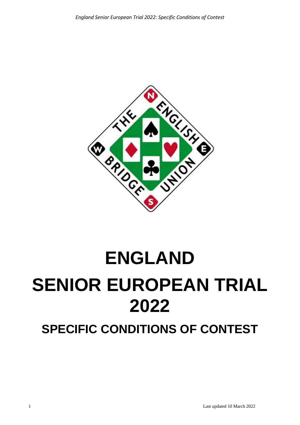

# **ENGLAND SENIOR EUROPEAN TRIAL 2022**

**SPECIFIC CONDITIONS OF CONTEST**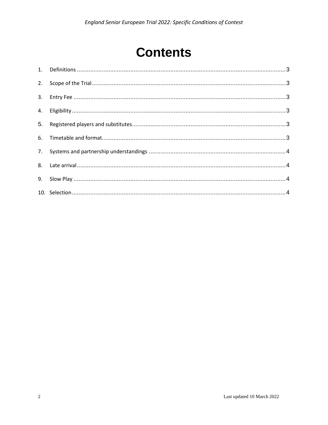# **Contents**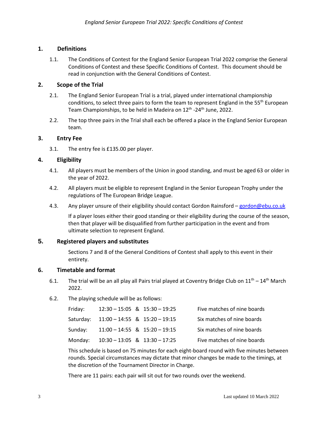# <span id="page-2-0"></span>**1. Definitions**

1.1. The Conditions of Contest for the England Senior European Trial 2022 comprise the General Conditions of Contest and these Specific Conditions of Contest. This document should be read in conjunction with the General Conditions of Contest.

#### <span id="page-2-1"></span>**2. Scope of the Trial**

- 2.1. The England Senior European Trial is a trial, played under international championship conditions, to select three pairs to form the team to represent England in the  $55<sup>th</sup>$  European Team Championships, to be held in Madeira on 12<sup>th</sup> -24<sup>th</sup> June, 2022.
- 2.2. The top three pairs in the Trial shall each be offered a place in the England Senior European team.

#### <span id="page-2-2"></span>**3. Entry Fee**

3.1. The entry fee is £135.00 per player.

#### <span id="page-2-3"></span>**4. Eligibility**

- 4.1. All players must be members of the Union in good standing, and must be aged 63 or older in the year of 2022.
- 4.2. All players must be eligible to represent England in the Senior European Trophy under the regulations of The European Bridge League.
- 4.3. Any player unsure of their eligibility should contact Gordon Rainsford [gordon@ebu.co.uk](mailto:gordon@ebu.co.uk)

If a player loses either their good standing or their eligibility during the course of the season, then that player will be disqualified from further participation in the event and from ultimate selection to represent England.

#### <span id="page-2-4"></span>**5. Registered players and substitutes**

Sections 7 and 8 of the General Conditions of Contest shall apply to this event in their entirety.

# <span id="page-2-5"></span>**6. Timetable and format**

- 6.1. The trial will be an all play all Pairs trial played at Coventry Bridge Club on  $11^{th} 14^{th}$  March 2022.
- 6.2. The playing schedule will be as follows:

| Friday: | $12:30 - 15:05$ & $15:30 - 19:25$       |  | Five matches of nine boards |
|---------|-----------------------------------------|--|-----------------------------|
|         | Saturday: 11:00 - 14:55 & 15:20 - 19:15 |  | Six matches of nine boards  |
| Sunday: | $11:00 - 14:55$ & $15:20 - 19:15$       |  | Six matches of nine boards  |
| Monday: | $10:30 - 13:05$ & $13:30 - 17:25$       |  | Five matches of nine boards |

This schedule is based on 75 minutes for each eight-board round with five minutes between rounds. Special circumstances may dictate that minor changes be made to the timings, at the discretion of the Tournament Director in Charge.

There are 11 pairs: each pair will sit out for two rounds over the weekend.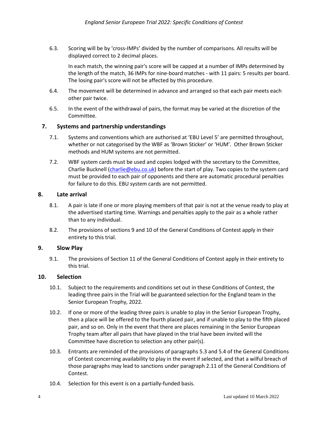6.3. Scoring will be by 'cross-IMPs' divided by the number of comparisons. All results will be displayed correct to 2 decimal places.

In each match, the winning pair's score will be capped at a number of IMPs determined by the length of the match, 36 IMPs for nine-board matches - with 11 pairs: 5 results per board. The losing pair's score will not be affected by this procedure.

- 6.4. The movement will be determined in advance and arranged so that each pair meets each other pair twice.
- 6.5. In the event of the withdrawal of pairs, the format may be varied at the discretion of the Committee.

# <span id="page-3-0"></span>**7. Systems and partnership understandings**

- 7.1. Systems and conventions which are authorised at 'EBU Level 5' are permitted throughout, whether or not categorised by the WBF as 'Brown Sticker' or 'HUM'. Other Brown Sticker methods and HUM systems are not permitted.
- 7.2. WBF system cards must be used and copies lodged with the secretary to the Committee, Charlie Bucknell [\(charlie@ebu.co.uk\)](mailto:charlie@ebu.co.uk) before the start of play. Two copies to the system card must be provided to each pair of opponents and there are automatic procedural penalties for failure to do this. EBU system cards are not permitted.

#### <span id="page-3-1"></span>**8. Late arrival**

- 8.1. A pair is late if one or more playing members of that pair is not at the venue ready to play at the advertised starting time. Warnings and penalties apply to the pair as a whole rather than to any individual.
- 8.2. The provisions of sections 9 and 10 of the General Conditions of Contest apply in their entirety to this trial.

#### <span id="page-3-2"></span>**9. Slow Play**

9.1. The provisions of Section 11 of the General Conditions of Contest apply in their entirety to this trial.

#### <span id="page-3-3"></span>**10. Selection**

- 10.1. Subject to the requirements and conditions set out in these Conditions of Contest, the leading three pairs in the Trial will be guaranteed selection for the England team in the Senior European Trophy, 2022.
- 10.2. If one or more of the leading three pairs is unable to play in the Senior European Trophy, then a place will be offered to the fourth placed pair, and if unable to play to the fifth placed pair, and so on. Only in the event that there are places remaining in the Senior European Trophy team after all pairs that have played in the trial have been invited will the Committee have discretion to selection any other pair(s).
- 10.3. Entrants are reminded of the provisions of paragraphs 5.3 and 5.4 of the General Conditions of Contest concerning availability to play in the event if selected, and that a wilful breach of those paragraphs may lead to sanctions under paragraph 2.11 of the General Conditions of Contest.
- 10.4. Selection for this event is on a partially-funded basis.